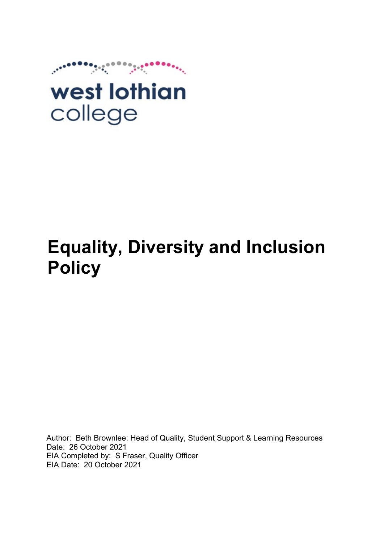

# **Equality, Diversity and Inclusion Policy**

Author: Beth Brownlee: Head of Quality, Student Support & Learning Resources Date: 26 October 2021 EIA Completed by: S Fraser, Quality Officer EIA Date: 20 October 2021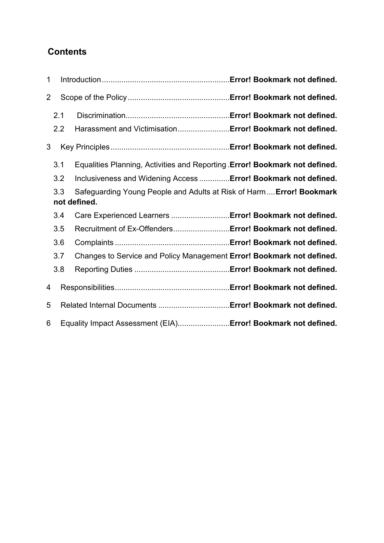# **Contents**

| $\mathbf 1$    |     |                                                                                      |  |
|----------------|-----|--------------------------------------------------------------------------------------|--|
| $\overline{2}$ |     |                                                                                      |  |
|                | 2.1 |                                                                                      |  |
|                | 2.2 | Harassment and VictimisationError! Bookmark not defined.                             |  |
| 3              |     |                                                                                      |  |
|                | 3.1 | Equalities Planning, Activities and Reporting Error! Bookmark not defined.           |  |
|                | 3.2 | Inclusiveness and Widening Access  Error! Bookmark not defined.                      |  |
|                | 3.3 | Safeguarding Young People and Adults at Risk of Harm Error! Bookmark<br>not defined. |  |
|                | 3.4 | Care Experienced Learners  Error! Bookmark not defined.                              |  |
|                | 3.5 | Recruitment of Ex-OffendersError! Bookmark not defined.                              |  |
|                | 3.6 |                                                                                      |  |
|                | 3.7 | Changes to Service and Policy Management Error! Bookmark not defined.                |  |
|                | 3.8 |                                                                                      |  |
| 4              |     |                                                                                      |  |
| 5              |     |                                                                                      |  |
| 6              |     | Equality Impact Assessment (EIA)Error! Bookmark not defined.                         |  |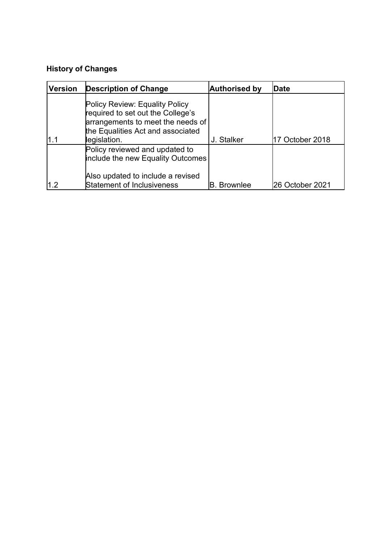## **History of Changes**

| <b>Version</b> | <b>Description of Change</b>                                                                                                                                  | <b>Authorised by</b> | Date            |
|----------------|---------------------------------------------------------------------------------------------------------------------------------------------------------------|----------------------|-----------------|
|                | Policy Review: Equality Policy<br>required to set out the College's<br>arrangements to meet the needs of<br>the Equalities Act and associated<br>legislation. | J. Stalker           | 17 October 2018 |
|                | Policy reviewed and updated to<br>include the new Equality Outcomes<br>Also updated to include a revised                                                      |                      |                 |
| l1.2           | <b>Statement of Inclusiveness</b>                                                                                                                             | <b>B.</b> Brownlee   | 26 October 2021 |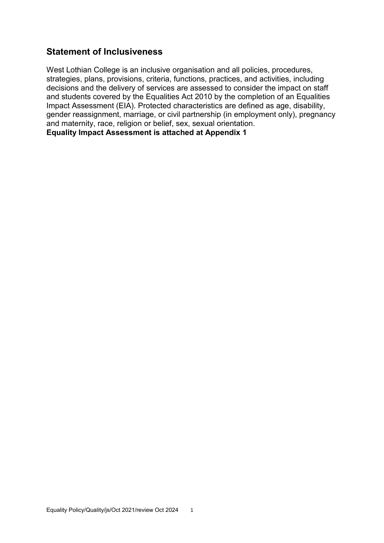## **Statement of Inclusiveness**

West Lothian College is an inclusive organisation and all policies, procedures, strategies, plans, provisions, criteria, functions, practices, and activities, including decisions and the delivery of services are assessed to consider the impact on staff and students covered by the Equalities Act 2010 by the completion of an Equalities Impact Assessment (EIA). Protected characteristics are defined as age, disability, gender reassignment, marriage, or civil partnership (in employment only), pregnancy and maternity, race, religion or belief, sex, sexual orientation. **Equality Impact Assessment is attached at Appendix 1**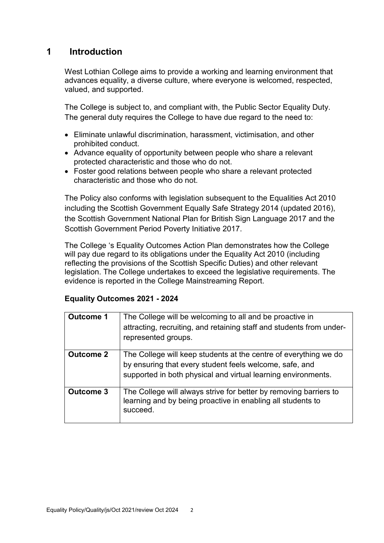## **1 Introduction**

West Lothian College aims to provide a working and learning environment that advances equality, a diverse culture, where everyone is welcomed, respected, valued, and supported.

The College is subject to, and compliant with, the Public Sector Equality Duty. The general duty requires the College to have due regard to the need to:

- Eliminate unlawful discrimination, harassment, victimisation, and other prohibited conduct.
- Advance equality of opportunity between people who share a relevant protected characteristic and those who do not.
- Foster good relations between people who share a relevant protected characteristic and those who do not.

The Policy also conforms with legislation subsequent to the Equalities Act 2010 including the Scottish Government Equally Safe Strategy 2014 (updated 2016), the Scottish Government National Plan for British Sign Language 2017 and the Scottish Government Period Poverty Initiative 2017.

The College 's Equality Outcomes Action Plan demonstrates how the College will pay due regard to its obligations under the Equality Act 2010 (including reflecting the provisions of the Scottish Specific Duties) and other relevant legislation. The College undertakes to exceed the legislative requirements. The evidence is reported in the College Mainstreaming Report.

#### **Equality Outcomes 2021 - 2024**

| <b>Outcome 1</b> | The College will be welcoming to all and be proactive in<br>attracting, recruiting, and retaining staff and students from under-<br>represented groups.                                      |
|------------------|----------------------------------------------------------------------------------------------------------------------------------------------------------------------------------------------|
| <b>Outcome 2</b> | The College will keep students at the centre of everything we do<br>by ensuring that every student feels welcome, safe, and<br>supported in both physical and virtual learning environments. |
| <b>Outcome 3</b> | The College will always strive for better by removing barriers to<br>learning and by being proactive in enabling all students to<br>succeed.                                                 |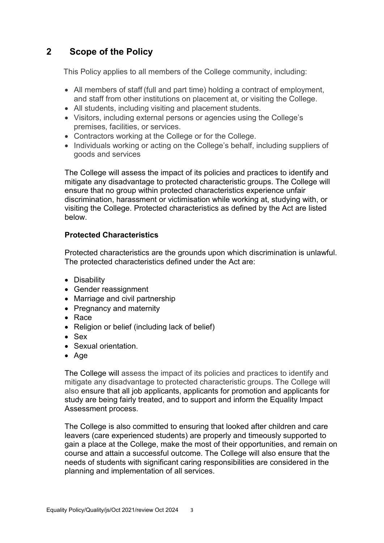## **2 Scope of the Policy**

This Policy applies to all members of the College community, including:

- All members of staff (full and part time) holding a contract of employment, and staff from other institutions on placement at, or visiting the College.
- All students, including visiting and placement students.
- Visitors, including external persons or agencies using the College's premises, facilities, or services.
- Contractors working at the College or for the College.
- Individuals working or acting on the College's behalf, including suppliers of goods and services

The College will assess the impact of its policies and practices to identify and mitigate any disadvantage to protected characteristic groups. The College will ensure that no group within protected characteristics experience unfair discrimination, harassment or victimisation while working at, studying with, or visiting the College. Protected characteristics as defined by the Act are listed below.

#### **Protected Characteristics**

Protected characteristics are the grounds upon which discrimination is unlawful. The protected characteristics defined under the Act are:

- Disability
- Gender reassignment
- Marriage and civil partnership
- Pregnancy and maternity
- Race
- Religion or belief (including lack of belief)
- Sex
- Sexual orientation.
- Age

The College will assess the impact of its policies and practices to identify and mitigate any disadvantage to protected characteristic groups. The College will also ensure that all job applicants, applicants for promotion and applicants for study are being fairly treated, and to support and inform the Equality Impact Assessment process.

The College is also committed to ensuring that looked after children and care leavers (care experienced students) are properly and timeously supported to gain a place at the College, make the most of their opportunities, and remain on course and attain a successful outcome. The College will also ensure that the needs of students with significant caring responsibilities are considered in the planning and implementation of all services.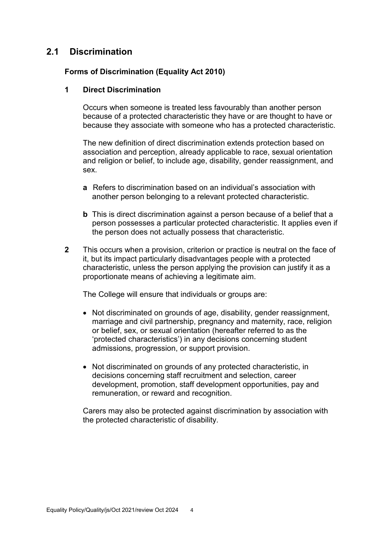### **2.1 Discrimination**

#### **Forms of Discrimination (Equality Act 2010)**

#### **1 Direct Discrimination**

Occurs when someone is treated less favourably than another person because of a protected characteristic they have or are thought to have or because they associate with someone who has a protected characteristic.

The new definition of direct discrimination extends protection based on association and perception, already applicable to race, sexual orientation and religion or belief, to include age, disability, gender reassignment, and sex.

- **a** Refers to discrimination based on an individual's association with another person belonging to a relevant protected characteristic.
- **b** This is direct discrimination against a person because of a belief that a person possesses a particular protected characteristic. It applies even if the person does not actually possess that characteristic.
- **2** This occurs when a provision, criterion or practice is neutral on the face of it, but its impact particularly disadvantages people with a protected characteristic, unless the person applying the provision can justify it as a proportionate means of achieving a legitimate aim.

The College will ensure that individuals or groups are:

- Not discriminated on grounds of age, disability, gender reassignment, marriage and civil partnership, pregnancy and maternity, race, religion or belief, sex, or sexual orientation (hereafter referred to as the 'protected characteristics') in any decisions concerning student admissions, progression, or support provision.
- Not discriminated on grounds of any protected characteristic, in decisions concerning staff recruitment and selection, career development, promotion, staff development opportunities, pay and remuneration, or reward and recognition.

Carers may also be protected against discrimination by association with the protected characteristic of disability.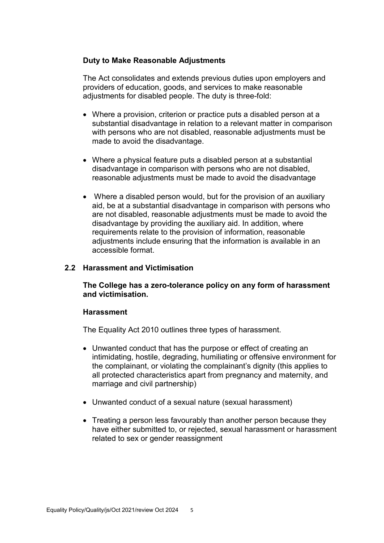#### **Duty to Make Reasonable Adjustments**

The Act consolidates and extends previous duties upon employers and providers of education, goods, and services to make reasonable adjustments for disabled people. The duty is three-fold:

- Where a provision, criterion or practice puts a disabled person at a substantial disadvantage in relation to a relevant matter in comparison with persons who are not disabled, reasonable adjustments must be made to avoid the disadvantage.
- Where a physical feature puts a disabled person at a substantial disadvantage in comparison with persons who are not disabled, reasonable adjustments must be made to avoid the disadvantage
- Where a disabled person would, but for the provision of an auxiliary aid, be at a substantial disadvantage in comparison with persons who are not disabled, reasonable adjustments must be made to avoid the disadvantage by providing the auxiliary aid. In addition, where requirements relate to the provision of information, reasonable adjustments include ensuring that the information is available in an accessible format.

#### **2.2 Harassment and Victimisation**

**The College has a zero-tolerance policy on any form of harassment and victimisation.**

#### **Harassment**

The Equality Act 2010 outlines three types of harassment.

- Unwanted conduct that has the purpose or effect of creating an intimidating, hostile, degrading, humiliating or offensive environment for the complainant, or violating the complainant's dignity (this applies to all protected characteristics apart from pregnancy and maternity, and marriage and civil partnership)
- Unwanted conduct of a sexual nature (sexual harassment)
- Treating a person less favourably than another person because they have either submitted to, or rejected, sexual harassment or harassment related to sex or gender reassignment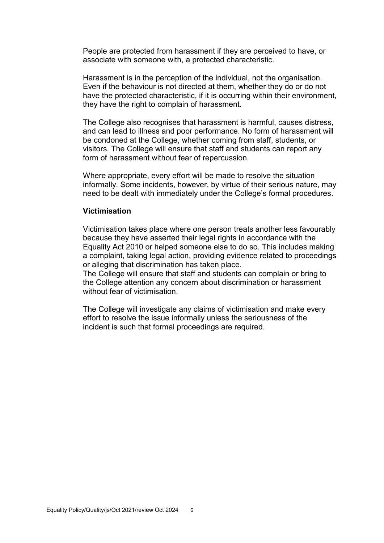People are protected from harassment if they are perceived to have, or associate with someone with, a protected characteristic.

Harassment is in the perception of the individual, not the organisation. Even if the behaviour is not directed at them, whether they do or do not have the protected characteristic, if it is occurring within their environment, they have the right to complain of harassment.

The College also recognises that harassment is harmful, causes distress, and can lead to illness and poor performance. No form of harassment will be condoned at the College, whether coming from staff, students, or visitors. The College will ensure that staff and students can report any form of harassment without fear of repercussion.

Where appropriate, every effort will be made to resolve the situation informally. Some incidents, however, by virtue of their serious nature, may need to be dealt with immediately under the College's formal procedures.

#### **Victimisation**

Victimisation takes place where one person treats another less favourably because they have asserted their legal rights in accordance with the Equality Act 2010 or helped someone else to do so. This includes making a complaint, taking legal action, providing evidence related to proceedings or alleging that discrimination has taken place.

The College will ensure that staff and students can complain or bring to the College attention any concern about discrimination or harassment without fear of victimisation.

The College will investigate any claims of victimisation and make every effort to resolve the issue informally unless the seriousness of the incident is such that formal proceedings are required.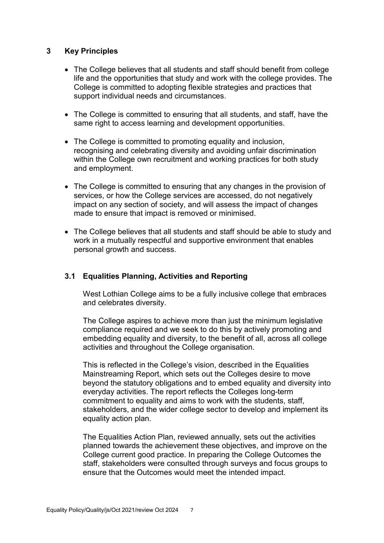#### **3 Key Principles**

- The College believes that all students and staff should benefit from college life and the opportunities that study and work with the college provides. The College is committed to adopting flexible strategies and practices that support individual needs and circumstances.
- The College is committed to ensuring that all students, and staff, have the same right to access learning and development opportunities.
- The College is committed to promoting equality and inclusion, recognising and celebrating diversity and avoiding unfair discrimination within the College own recruitment and working practices for both study and employment.
- The College is committed to ensuring that any changes in the provision of services, or how the College services are accessed, do not negatively impact on any section of society, and will assess the impact of changes made to ensure that impact is removed or minimised.
- The College believes that all students and staff should be able to study and work in a mutually respectful and supportive environment that enables personal growth and success.

#### **3.1 Equalities Planning, Activities and Reporting**

West Lothian College aims to be a fully inclusive college that embraces and celebrates diversity.

The College aspires to achieve more than just the minimum legislative compliance required and we seek to do this by actively promoting and embedding equality and diversity, to the benefit of all, across all college activities and throughout the College organisation.

This is reflected in the College's vision, described in the Equalities Mainstreaming Report, which sets out the Colleges desire to move beyond the statutory obligations and to embed equality and diversity into everyday activities. The report reflects the Colleges long-term commitment to equality and aims to work with the students, staff, stakeholders, and the wider college sector to develop and implement its equality action plan.

The Equalities Action Plan, reviewed annually, sets out the activities planned towards the achievement these objectives, and improve on the College current good practice. In preparing the College Outcomes the staff, stakeholders were consulted through surveys and focus groups to ensure that the Outcomes would meet the intended impact.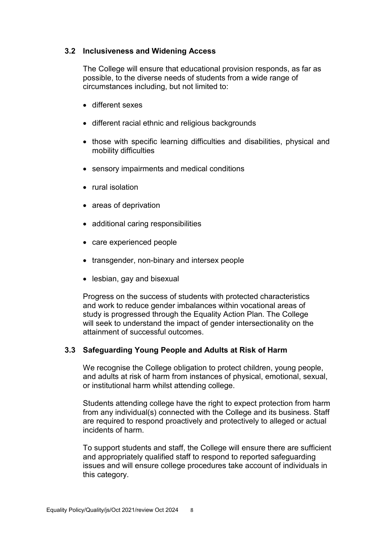#### **3.2 Inclusiveness and Widening Access**

The College will ensure that educational provision responds, as far as possible, to the diverse needs of students from a wide range of circumstances including, but not limited to:

- different sexes
- different racial ethnic and religious backgrounds
- those with specific learning difficulties and disabilities, physical and mobility difficulties
- sensory impairments and medical conditions
- rural isolation
- areas of deprivation
- additional caring responsibilities
- care experienced people
- transgender, non-binary and intersex people
- lesbian, gay and bisexual

Progress on the success of students with protected characteristics and work to reduce gender imbalances within vocational areas of study is progressed through the Equality Action Plan. The College will seek to understand the impact of gender intersectionality on the attainment of successful outcomes.

#### **3.3 Safeguarding Young People and Adults at Risk of Harm**

We recognise the College obligation to protect children, young people, and adults at risk of harm from instances of physical, emotional, sexual, or institutional harm whilst attending college.

Students attending college have the right to expect protection from harm from any individual(s) connected with the College and its business. Staff are required to respond proactively and protectively to alleged or actual incidents of harm.

To support students and staff, the College will ensure there are sufficient and appropriately qualified staff to respond to reported safeguarding issues and will ensure college procedures take account of individuals in this category.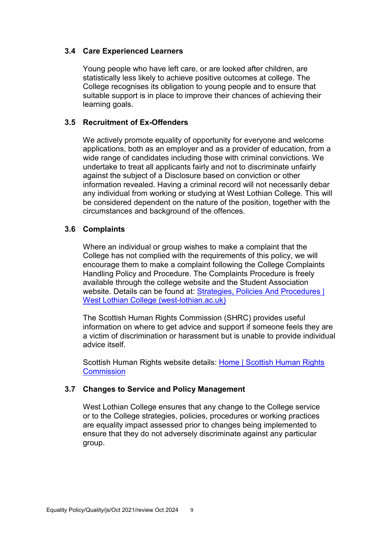#### **3.4 Care Experienced Learners**

Young people who have left care, or are looked after children, are statistically less likely to achieve positive outcomes at college. The College recognises its obligation to young people and to ensure that suitable support is in place to improve their chances of achieving their learning goals.

#### **3.5 Recruitment of Ex-Offenders**

We actively promote equality of opportunity for everyone and welcome applications, both as an employer and as a provider of education, from a wide range of candidates including those with criminal convictions. We undertake to treat all applicants fairly and not to discriminate unfairly against the subject of a Disclosure based on conviction or other information revealed. Having a criminal record will not necessarily debar any individual from working or studying at West Lothian College. This will be considered dependent on the nature of the position, together with the circumstances and background of the offences.

#### **3.6 Complaints**

Where an individual or group wishes to make a complaint that the College has not complied with the requirements of this policy, we will encourage them to make a complaint following the College Complaints Handling Policy and Procedure. The Complaints Procedure is freely available through the college website and the Student Association website. Details can be found at: [Strategies, Policies And Procedures |](https://www.west-lothian.ac.uk/corporate-and-governance/strategies-policies-and-procedures/)  [West Lothian College \(west-lothian.ac.uk\)](https://www.west-lothian.ac.uk/corporate-and-governance/strategies-policies-and-procedures/)

The Scottish Human Rights Commission (SHRC) provides useful information on where to get advice and support if someone feels they are a victim of discrimination or harassment but is unable to provide individual advice itself.

Scottish Human Rights website details: Home [| Scottish Human Rights](https://www.scottishhumanrights.com/)  **[Commission](https://www.scottishhumanrights.com/)** 

#### **3.7 Changes to Service and Policy Management**

West Lothian College ensures that any change to the College service or to the College strategies, policies, procedures or working practices are equality impact assessed prior to changes being implemented to ensure that they do not adversely discriminate against any particular group.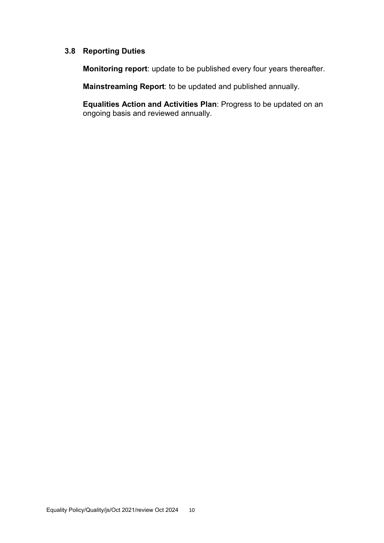#### **3.8 Reporting Duties**

**Monitoring report**: update to be published every four years thereafter.

**Mainstreaming Report**: to be updated and published annually.

**Equalities Action and Activities Plan**: Progress to be updated on an ongoing basis and reviewed annually.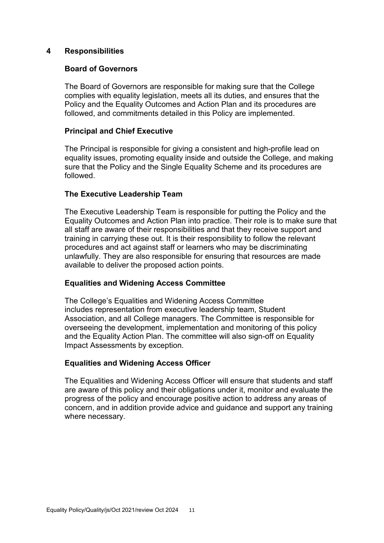#### **4 Responsibilities**

#### **Board of Governors**

The Board of Governors are responsible for making sure that the College complies with equality legislation, meets all its duties, and ensures that the Policy and the Equality Outcomes and Action Plan and its procedures are followed, and commitments detailed in this Policy are implemented.

#### **Principal and Chief Executive**

The Principal is responsible for giving a consistent and high-profile lead on equality issues, promoting equality inside and outside the College, and making sure that the Policy and the Single Equality Scheme and its procedures are followed.

#### **The Executive Leadership Team**

The Executive Leadership Team is responsible for putting the Policy and the Equality Outcomes and Action Plan into practice. Their role is to make sure that all staff are aware of their responsibilities and that they receive support and training in carrying these out. It is their responsibility to follow the relevant procedures and act against staff or learners who may be discriminating unlawfully. They are also responsible for ensuring that resources are made available to deliver the proposed action points.

#### **Equalities and Widening Access Committee**

The College's Equalities and Widening Access Committee includes representation from executive leadership team, Student Association, and all College managers. The Committee is responsible for overseeing the development, implementation and monitoring of this policy and the Equality Action Plan. The committee will also sign-off on Equality Impact Assessments by exception.

#### **Equalities and Widening Access Officer**

The Equalities and Widening Access Officer will ensure that students and staff are aware of this policy and their obligations under it, monitor and evaluate the progress of the policy and encourage positive action to address any areas of concern, and in addition provide advice and guidance and support any training where necessary.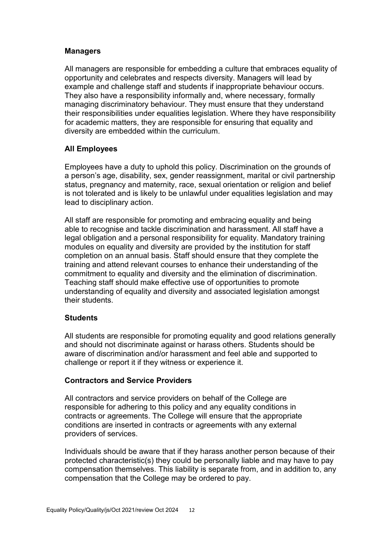#### **Managers**

All managers are responsible for embedding a culture that embraces equality of opportunity and celebrates and respects diversity. Managers will lead by example and challenge staff and students if inappropriate behaviour occurs. They also have a responsibility informally and, where necessary, formally managing discriminatory behaviour. They must ensure that they understand their responsibilities under equalities legislation. Where they have responsibility for academic matters, they are responsible for ensuring that equality and diversity are embedded within the curriculum.

#### **All Employees**

Employees have a duty to uphold this policy. Discrimination on the grounds of a person's age, disability, sex, gender reassignment, marital or civil partnership status, pregnancy and maternity, race, sexual orientation or religion and belief is not tolerated and is likely to be unlawful under equalities legislation and may lead to disciplinary action.

All staff are responsible for promoting and embracing equality and being able to recognise and tackle discrimination and harassment. All staff have a legal obligation and a personal responsibility for equality. Mandatory training modules on equality and diversity are provided by the institution for staff completion on an annual basis. Staff should ensure that they complete the training and attend relevant courses to enhance their understanding of the commitment to equality and diversity and the elimination of discrimination. Teaching staff should make effective use of opportunities to promote understanding of equality and diversity and associated legislation amongst their students.

#### **Students**

All students are responsible for promoting equality and good relations generally and should not discriminate against or harass others. Students should be aware of discrimination and/or harassment and feel able and supported to challenge or report it if they witness or experience it.

#### **Contractors and Service Providers**

All contractors and service providers on behalf of the College are responsible for adhering to this policy and any equality conditions in contracts or agreements. The College will ensure that the appropriate conditions are inserted in contracts or agreements with any external providers of services.

Individuals should be aware that if they harass another person because of their protected characteristic(s) they could be personally liable and may have to pay compensation themselves. This liability is separate from, and in addition to, any compensation that the College may be ordered to pay.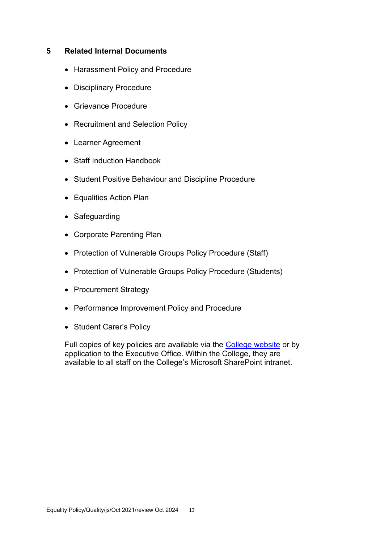#### **5 Related Internal Documents**

- Harassment Policy and Procedure
- Disciplinary Procedure
- Grievance Procedure
- Recruitment and Selection Policy
- Learner Agreement
- Staff Induction Handbook
- Student Positive Behaviour and Discipline Procedure
- Equalities Action Plan
- Safeguarding
- Corporate Parenting Plan
- Protection of Vulnerable Groups Policy Procedure (Staff)
- Protection of Vulnerable Groups Policy Procedure (Students)
- Procurement Strategy
- Performance Improvement Policy and Procedure
- Student Carer's Policy

Full copies of key policies are available via the [College website](https://www.west-lothian.ac.uk/corporate-and-governance/strategies-policies-and-procedures/) or by application to the Executive Office. Within the College, they are available to all staff on the College's Microsoft SharePoint intranet.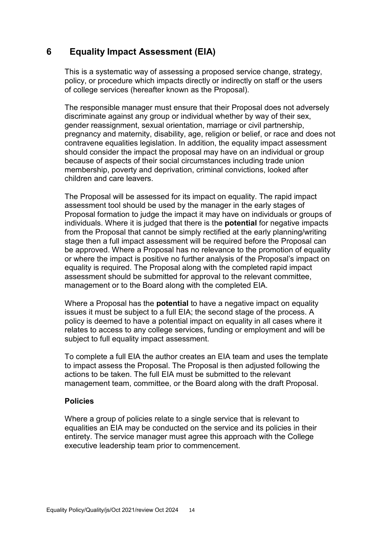## **6 Equality Impact Assessment (EIA)**

This is a systematic way of assessing a proposed service change, strategy, policy, or procedure which impacts directly or indirectly on staff or the users of college services (hereafter known as the Proposal).

The responsible manager must ensure that their Proposal does not adversely discriminate against any group or individual whether by way of their sex, gender reassignment, sexual orientation, marriage or civil partnership, pregnancy and maternity, disability, age, religion or belief, or race and does not contravene equalities legislation. In addition, the equality impact assessment should consider the impact the proposal may have on an individual or group because of aspects of their social circumstances including trade union membership, poverty and deprivation, criminal convictions, looked after children and care leavers.

The Proposal will be assessed for its impact on equality. The rapid impact assessment tool should be used by the manager in the early stages of Proposal formation to judge the impact it may have on individuals or groups of individuals. Where it is judged that there is the **potential** for negative impacts from the Proposal that cannot be simply rectified at the early planning/writing stage then a full impact assessment will be required before the Proposal can be approved. Where a Proposal has no relevance to the promotion of equality or where the impact is positive no further analysis of the Proposal's impact on equality is required. The Proposal along with the completed rapid impact assessment should be submitted for approval to the relevant committee, management or to the Board along with the completed EIA.

Where a Proposal has the **potential** to have a negative impact on equality issues it must be subject to a full EIA; the second stage of the process. A policy is deemed to have a potential impact on equality in all cases where it relates to access to any college services, funding or employment and will be subject to full equality impact assessment.

To complete a full EIA the author creates an EIA team and uses the template to impact assess the Proposal. The Proposal is then adjusted following the actions to be taken. The full EIA must be submitted to the relevant management team, committee, or the Board along with the draft Proposal.

#### **Policies**

Where a group of policies relate to a single service that is relevant to equalities an EIA may be conducted on the service and its policies in their entirety. The service manager must agree this approach with the College executive leadership team prior to commencement.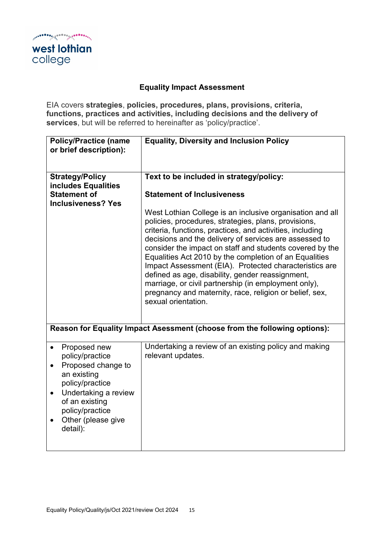college

## **Equality Impact Assessment**

EIA covers **strategies**, **policies, procedures, plans, provisions, criteria, functions, practices and activities, including decisions and the delivery of services**, but will be referred to hereinafter as 'policy/practice'.

| <b>Policy/Practice (name</b><br>or brief description):                                                                                                                                              | <b>Equality, Diversity and Inclusion Policy</b>                                                                                                                                                                                                                                                                                                                                                                                                                                                                                                                                                                                                                                                                                                                                     |
|-----------------------------------------------------------------------------------------------------------------------------------------------------------------------------------------------------|-------------------------------------------------------------------------------------------------------------------------------------------------------------------------------------------------------------------------------------------------------------------------------------------------------------------------------------------------------------------------------------------------------------------------------------------------------------------------------------------------------------------------------------------------------------------------------------------------------------------------------------------------------------------------------------------------------------------------------------------------------------------------------------|
| <b>Strategy/Policy</b><br>includes Equalities<br><b>Statement of</b><br><b>Inclusiveness? Yes</b>                                                                                                   | Text to be included in strategy/policy:<br><b>Statement of Inclusiveness</b><br>West Lothian College is an inclusive organisation and all<br>policies, procedures, strategies, plans, provisions,<br>criteria, functions, practices, and activities, including<br>decisions and the delivery of services are assessed to<br>consider the impact on staff and students covered by the<br>Equalities Act 2010 by the completion of an Equalities<br>Impact Assessment (EIA). Protected characteristics are<br>defined as age, disability, gender reassignment,<br>marriage, or civil partnership (in employment only),<br>pregnancy and maternity, race, religion or belief, sex,<br>sexual orientation.<br>Reason for Equality Impact Asessment (choose from the following options): |
| Proposed new<br>policy/practice<br>Proposed change to<br>an existing<br>policy/practice<br>Undertaking a review<br>$\bullet$<br>of an existing<br>policy/practice<br>Other (please give<br>detail): | Undertaking a review of an existing policy and making<br>relevant updates.                                                                                                                                                                                                                                                                                                                                                                                                                                                                                                                                                                                                                                                                                                          |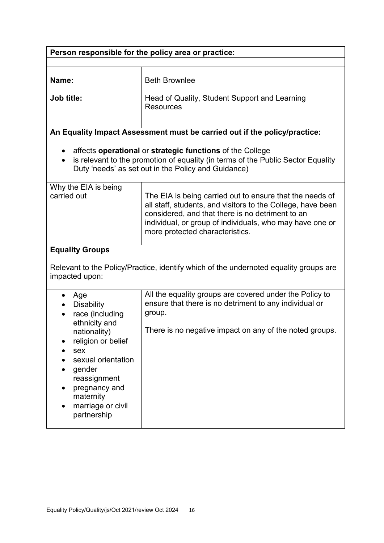| Person responsible for the policy area or practice:                                                                                                                                                                                      |                                                                                                                                                                                                                                                                            |  |
|------------------------------------------------------------------------------------------------------------------------------------------------------------------------------------------------------------------------------------------|----------------------------------------------------------------------------------------------------------------------------------------------------------------------------------------------------------------------------------------------------------------------------|--|
|                                                                                                                                                                                                                                          |                                                                                                                                                                                                                                                                            |  |
| Name:                                                                                                                                                                                                                                    | <b>Beth Brownlee</b>                                                                                                                                                                                                                                                       |  |
| Job title:                                                                                                                                                                                                                               | Head of Quality, Student Support and Learning<br><b>Resources</b>                                                                                                                                                                                                          |  |
|                                                                                                                                                                                                                                          | An Equality Impact Assessment must be carried out if the policy/practice:                                                                                                                                                                                                  |  |
| affects operational or strategic functions of the College<br>is relevant to the promotion of equality (in terms of the Public Sector Equality<br>$\bullet$<br>Duty 'needs' as set out in the Policy and Guidance)                        |                                                                                                                                                                                                                                                                            |  |
| Why the EIA is being<br>carried out                                                                                                                                                                                                      | The EIA is being carried out to ensure that the needs of<br>all staff, students, and visitors to the College, have been<br>considered, and that there is no detriment to an<br>individual, or group of individuals, who may have one or<br>more protected characteristics. |  |
| <b>Equality Groups</b><br>Relevant to the Policy/Practice, identify which of the undernoted equality groups are<br>impacted upon:                                                                                                        |                                                                                                                                                                                                                                                                            |  |
| Age<br>$\bullet$<br><b>Disability</b><br>race (including<br>ethnicity and<br>nationality)<br>religion or belief<br>sex<br>sexual orientation<br>gender<br>reassignment<br>pregnancy and<br>maternity<br>marriage or civil<br>partnership | All the equality groups are covered under the Policy to<br>ensure that there is no detriment to any individual or<br>group.<br>There is no negative impact on any of the noted groups.                                                                                     |  |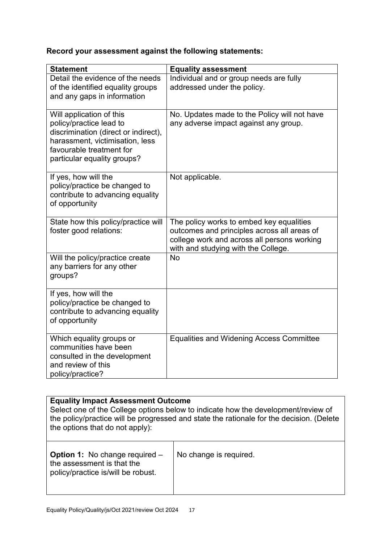# **Record your assessment against the following statements:**

| <b>Statement</b>                                                | <b>Equality assessment</b>                      |
|-----------------------------------------------------------------|-------------------------------------------------|
| Detail the evidence of the needs                                | Individual and or group needs are fully         |
| of the identified equality groups                               | addressed under the policy.                     |
| and any gaps in information                                     |                                                 |
|                                                                 |                                                 |
| Will application of this                                        | No. Updates made to the Policy will not have    |
| policy/practice lead to<br>discrimination (direct or indirect), | any adverse impact against any group.           |
| harassment, victimisation, less                                 |                                                 |
| favourable treatment for                                        |                                                 |
| particular equality groups?                                     |                                                 |
|                                                                 |                                                 |
| If yes, how will the                                            | Not applicable.                                 |
| policy/practice be changed to                                   |                                                 |
| contribute to advancing equality                                |                                                 |
| of opportunity                                                  |                                                 |
| State how this policy/practice will                             | The policy works to embed key equalities        |
| foster good relations:                                          | outcomes and principles across all areas of     |
|                                                                 | college work and across all persons working     |
|                                                                 | with and studying with the College.             |
| Will the policy/practice create                                 | <b>No</b>                                       |
| any barriers for any other                                      |                                                 |
| groups?                                                         |                                                 |
|                                                                 |                                                 |
| If yes, how will the<br>policy/practice be changed to           |                                                 |
| contribute to advancing equality                                |                                                 |
| of opportunity                                                  |                                                 |
|                                                                 |                                                 |
| Which equality groups or                                        | <b>Equalities and Widening Access Committee</b> |
| communities have been                                           |                                                 |
| consulted in the development                                    |                                                 |
| and review of this                                              |                                                 |
| policy/practice?                                                |                                                 |

| <b>Equality Impact Assessment Outcome</b><br>Select one of the College options below to indicate how the development/review of<br>the policy/practice will be progressed and state the rationale for the decision. (Delete<br>the options that do not apply): |                        |  |
|---------------------------------------------------------------------------------------------------------------------------------------------------------------------------------------------------------------------------------------------------------------|------------------------|--|
| <b>Option 1: No change required -</b><br>the assessment is that the<br>policy/practice is/will be robust.                                                                                                                                                     | No change is required. |  |